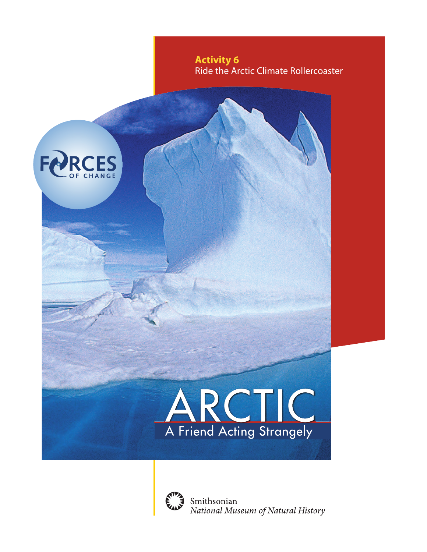

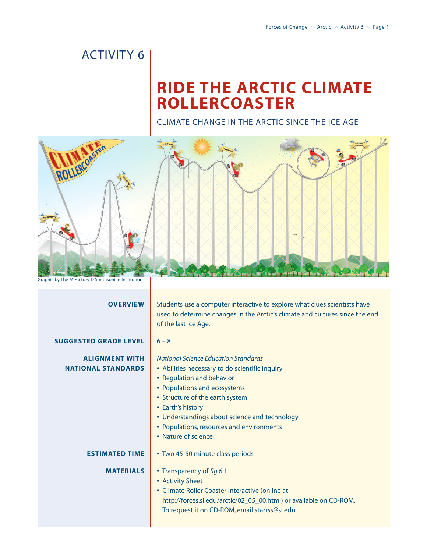## ACTIVITY 6

# **RIDE THE ARCTIC CLIMATE ROLLERCOASTER**

CLIMATE CHANGE IN THE ARCTIC SINCE THE ICE AGE



| Students use a computer interactive to explore what clues scientists have<br>used to determine changes in the Arctic's climate and cultures since the end<br>of the last Ice Age.                                                                                                                                                       |
|-----------------------------------------------------------------------------------------------------------------------------------------------------------------------------------------------------------------------------------------------------------------------------------------------------------------------------------------|
| $6 - 8$                                                                                                                                                                                                                                                                                                                                 |
| <b>National Science Education Standards</b><br>• Abilities necessary to do scientific inquiry<br>• Regulation and behavior<br>• Populations and ecosystems<br>• Structure of the earth system<br>• Earth's history<br>• Understandings about science and technology<br>• Populations, resources and environments<br>• Nature of science |
| • Two 45-50 minute class periods                                                                                                                                                                                                                                                                                                        |
| • Transparency of fig.6.1<br>• Activity Sheet I<br>• Climate Roller Coaster Interactive (online at<br>http://forces.si.edu/arctic/02_05_00.html) or available on CD-ROM.<br>To request it on CD-ROM, email starrss@si.edu.                                                                                                              |
|                                                                                                                                                                                                                                                                                                                                         |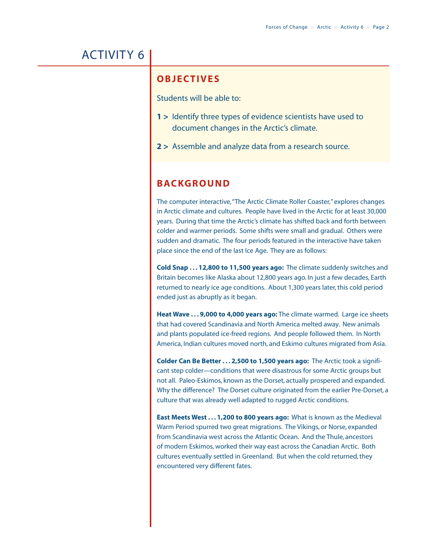## ACTIVITY 6

#### **OBJECTIVES**

Students will be able to:

- **1 >** Identify three types of evidence scientists have used to document changes in the Arctic's climate.
- **2 >** Assemble and analyze data from a research source.

### **BACKGROUND**

The computer interactive,"The Arctic Climate Roller Coaster," explores changes in Arctic climate and cultures. People have lived in the Arctic for at least 30,000 years. During that time the Arctic's climate has shifted back and forth between colder and warmer periods. Some shifts were small and gradual. Others were sudden and dramatic. The four periods featured in the interactive have taken place since the end of the last Ice Age. They are as follows:

**Cold Snap . . . 12,800 to 11,500 years ago:** The climate suddenly switches and Britain becomes like Alaska about 12,800 years ago. In just a few decades, Earth returned to nearly ice age conditions. About 1,300 years later, this cold period ended just as abruptly as it began.

**Heat Wave . . . 9,000 to 4,000 years ago:** The climate warmed. Large ice sheets that had covered Scandinavia and North America melted away. New animals and plants populated ice-freed regions. And people followed them. In North America, Indian cultures moved north, and Eskimo cultures migrated from Asia.

**Colder Can Be Better . . . 2,500 to 1,500 years ago:** The Arctic took a significant step colder—conditions that were disastrous for some Arctic groups but not all. Paleo-Eskimos, known as the Dorset, actually prospered and expanded. Why the difference? The Dorset culture originated from the earlier Pre-Dorset, a culture that was already well adapted to rugged Arctic conditions.

**East Meets West . . . 1,200 to 800 years ago:** What is known as the Medieval Warm Period spurred two great migrations. The Vikings, or Norse, expanded from Scandinavia west across the Atlantic Ocean. And the Thule, ancestors of modern Eskimos, worked their way east across the Canadian Arctic. Both cultures eventually settled in Greenland. But when the cold returned, they encountered very different fates.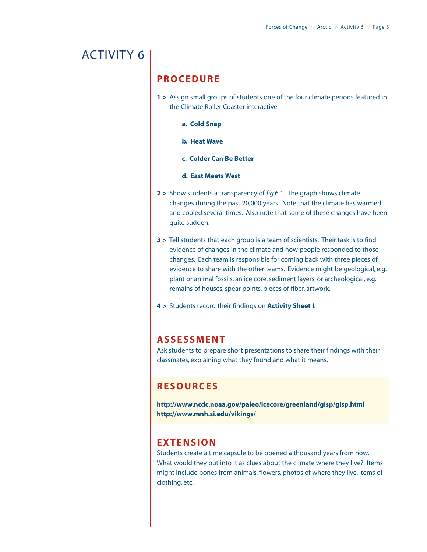## ACTIVITY 6

#### **PROCEDURE**

- **1 >** Assign small groups of students one of the four climate periods featured in the Climate Roller Coaster interactive.
	- **a. Cold Snap**
	- **b. Heat Wave**
	- **c. Colder Can Be Better**
	- **d. East Meets West**
- **2 >** Show students a transparency of *fig*.6.1. The graph shows climate changes during the past 20,000 years. Note that the climate has warmed and cooled several times. Also note that some of these changes have been quite sudden.
- **3 >** Tell students that each group is a team of scientists. Their task is to find evidence of changes in the climate and how people responded to those changes. Each team is responsible for coming back with three pieces of evidence to share with the other teams. Evidence might be geological, e.g. plant or animal fossils, an ice core, sediment layers, or archeological, e.g. remains of houses, spear points, pieces of fiber, artwork.
- **4 >** Students record their findings on **Activity Sheet I**.

#### **ASSESSMENT**

Ask students to prepare short presentations to share their findings with their classmates, explaining what they found and what it means.

#### **RESOURCES**

**http://www.ncdc.noaa.gov/paleo/icecore/greenland/gisp/gisp.html http://www.mnh.si.edu/vikings/**

#### **EXTENSION**

Students create a time capsule to be opened a thousand years from now. What would they put into it as clues about the climate where they live? Items might include bones from animals, flowers, photos of where they live, items of clothing, etc.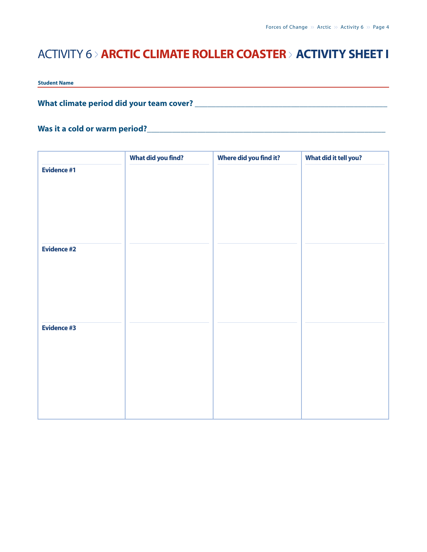### ACTIVITY 6 > **ARCTIC CLIMATE ROLLER COASTER** <sup>&</sup>gt; **ACTIVITY SHEET I**

**Student Name**

#### **What climate period did your team cover? \_\_\_\_\_\_\_\_\_\_\_\_\_\_\_\_\_\_\_\_\_\_\_\_\_\_\_\_\_\_\_\_\_\_\_\_\_\_\_\_\_\_\_\_\_\_**

#### **Was it a cold or warm period?\_\_\_\_\_\_\_\_\_\_\_\_\_\_\_\_\_\_\_\_\_\_\_\_\_\_\_\_\_\_\_\_\_\_\_\_\_\_\_\_\_\_\_\_\_\_\_\_\_\_\_\_\_\_\_\_\_**